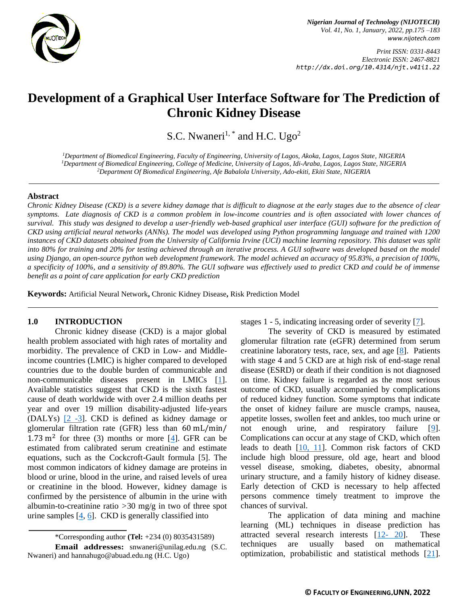

*Print ISSN: 0331-8443 Electronic ISSN: 2467-8821 http://dx.doi.org/10.4314/njt.v41i1.22*

# **Development of a Graphical User Interface Software for The Prediction of Chronic Kidney Disease**

S.C. Nwaneri<sup>1, \*</sup> and H.C. Ugo<sup>2</sup>

*<sup>1</sup>Department of Biomedical Engineering, Faculty of Engineering, University of Lagos, Akoka, Lagos, Lagos State, NIGERIA <sup>1</sup>Department of Biomedical Engineering, College of Medicine, University of Lagos, Idi-Araba, Lagos, Lagos State, NIGERIA <sup>2</sup>Department Of Biomedical Engineering, Afe Babalola University, Ado-ekiti, Ekiti State, NIGERIA* 

## **Abstract**

*Chronic Kidney Disease (CKD) is a severe kidney damage that is difficult to diagnose at the early stages due to the absence of clear symptoms. Late diagnosis of CKD is a common problem in low-income countries and is often associated with lower chances of survival. This study was designed to develop a user-friendly web-based graphical user interface (GUI) software for the prediction of CKD using artificial neural networks (ANNs). The model was developed using Python programming language and trained with 1200 instances of CKD datasets obtained from the University of California Irvine (UCI) machine learning repository. This dataset was split into 80% for training and 20% for testing achieved through an iterative process. A GUI software was developed based on the model using Django, an open-source python web development framework. The model achieved an accuracy of 95.83%, a precision of 100%, a specificity of 100%, and a sensitivity of 89.80%. The GUI software was effectively used to predict CKD and could be of immense benefit as a point of care application for early CKD prediction*

**Keywords:** Artificial Neural Network**,** Chronic Kidney Disease**,** Risk Prediction Model

# **1.0 INTRODUCTION**

Chronic kidney disease (CKD) is a major global health problem associated with high rates of mortality and morbidity. The prevalence of CKD in Low- and Middleincome countries (LMIC) is higher compared to developed countries due to the double burden of communicable and non-communicable diseases present in LMICs [\[1\]](#page-7-0). Available statistics suggest that CKD is the sixth fastest cause of death worldwide with over 2.4 million deaths per year and over 19 million disability-adjusted life-years (DALYs)  $[2 -3]$  $[2 -3]$  $[2 -3]$ . CKD is defined as kidney damage or glomerular filtration rate (GFR) less than 60 mL/min/  $1.73 \text{ m}^2$  for three (3) months or more [\[4\]](#page-7-3). GFR can be estimated from calibrated serum creatinine and estimate equations, such as the Cockcroft-Gault formula [5]. The most common indicators of kidney damage are proteins in blood or urine, blood in the urine, and raised levels of urea or creatinine in the blood. However, kidney damage is confirmed by the persistence of albumin in the urine with albumin-to-creatinine ratio *>*30 mg/g in two of three spot urine samples  $[4, 6]$  $[4, 6]$ . CKD is generally classified into

\*Corresponding author **[\(Te](mailto:samnnaemeka.ugwu@unn.edu.ng)l:** +234 (0) 8035431589)

stages 1 - 5, indicating increasing order of severity [\[7\]](#page-7-5).

The severity of CKD is measured by estimated glomerular filtration rate (eGFR) determined from serum creatinine laboratory tests, race, sex, and age [\[8\]](#page-7-6). Patients with stage 4 and 5 CKD are at high risk of end-stage renal disease (ESRD) or death if their condition is not diagnosed on time. Kidney failure is regarded as the most serious outcome of CKD, usually accompanied by complications of reduced kidney function. Some symptoms that indicate the onset of kidney failure are muscle cramps, nausea, appetite losses, swollen feet and ankles, too much urine or not enough urine, and respiratory failure [\[9\]](#page-7-7). Complications can occur at any stage of CKD, which often leads to death [\[10](#page-7-8)[, 11\]](#page-7-9). Common risk factors of CKD include high blood pressure, old age, heart and blood vessel disease, smoking, diabetes, obesity, abnormal urinary structure, and a family history of kidney disease. Early detection of CKD is necessary to help affected persons commence timely treatment to improve the chances of survival.

The application of data mining and machine learning (ML) techniques in disease prediction has attracted several research interests [\[12-](#page-7-10) 20]. These techniques are usually based on mathematical optimization, probabilistic and statistical methods [\[21\]](#page-8-0).

**Email addresses:** [snwaneri@unilag.edu.ng](mailto:snwaneri@unilag.edu.ng) (S.C. Nwaneri) and [hannahugo@abuad.edu.ng](mailto:hannahugo@abuad.edu.ng) (H.C. Ugo)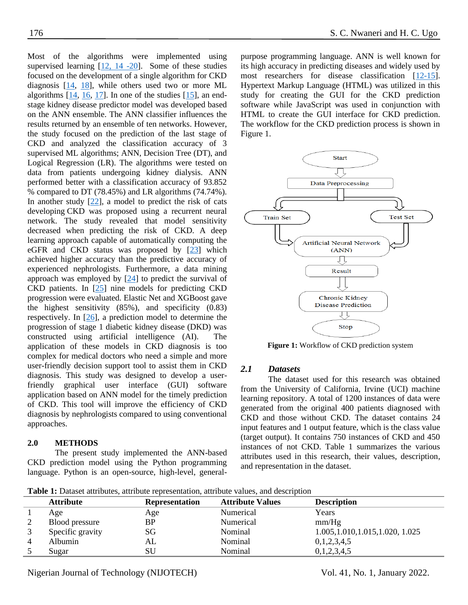Most of the algorithms were implemented using supervised learning  $[12, 14, -20]$  $[12, 14, -20]$ . Some of these studies focused on the development of a single algorithm for CKD diagnosis [\[14,](#page-7-11) [18\]](#page-7-12), while others used two or more ML algorithms  $[14, 16, 17]$  $[14, 16, 17]$  $[14, 16, 17]$ . In one of the studies  $[15]$ , an endstage kidney disease predictor model was developed based on the ANN ensemble. The ANN classifier influences the results returned by an ensemble of ten networks. However, the study focused on the prediction of the last stage of CKD and analyzed the classification accuracy of 3 supervised ML algorithms; ANN, Decision Tree (DT), and Logical Regression (LR). The algorithms were tested on data from patients undergoing kidney dialysis. ANN performed better with a classification accuracy of 93.852 % compared to DT (78.45%) and LR algorithms (74.74%). In another study [\[22\]](#page-8-1), a model to predict the risk of cats developing CKD was proposed using a recurrent neural network. The study revealed that model sensitivity decreased when predicting the risk of CKD. A deep learning approach capable of automatically computing the eGFR and CKD status was proposed by [\[23\]](#page-8-2) which achieved higher accuracy than the predictive accuracy of experienced nephrologists. Furthermore, a data mining approach was employed by  $[24]$  to predict the survival of CKD patients. In [\[25\]](#page-8-4) nine models for predicting CKD progression were evaluated. Elastic Net and XGBoost gave the highest sensitivity (85%), and specificity (0.83) respectively. In [\[26\]](#page-8-5), a prediction model to determine the progression of stage 1 diabetic kidney disease (DKD) was constructed using artificial intelligence (AI). The application of these models in CKD diagnosis is too complex for medical doctors who need a simple and more user-friendly decision support tool to assist them in CKD diagnosis. This study was designed to develop a userfriendly graphical user interface (GUI) software application based on ANN model for the timely prediction of CKD. This tool will improve the efficiency of CKD diagnosis by nephrologists compared to using conventional approaches.

# **2.0 METHODS**

The present study implemented the ANN-based CKD prediction model using the Python programming language. Python is an open-source, high-level, generalpurpose programming language. ANN is well known for its high accuracy in predicting diseases and widely used by most researchers for disease classification [\[12-](#page-7-10)[15\]](#page-7-15). Hypertext Markup Language (HTML) was utilized in this study for creating the GUI for the CKD prediction software while JavaScript was used in conjunction with HTML to create the GUI interface for CKD prediction. The workflow for the CKD prediction process is shown in Figure 1.



**Figure 1:** Workflow of CKD prediction system

#### *2.1 Datasets*

The dataset used for this research was obtained from the University of California, Irvine (UCI) machine learning repository. A total of 1200 instances of data were generated from the original 400 patients diagnosed with CKD and those without CKD. The dataset contains 24 input features and 1 output feature, which is the class value (target output). It contains 750 instances of CKD and 450 instances of not CKD. Table 1 summarizes the various attributes used in this research, their values, description, and representation in the dataset.

**Table 1:** Dataset attributes, attribute representation, attribute values, and description

| <b>Table 1.</b> Dataset attributes, attribute representation, attribute values, and description |                       |                         |                                   |  |  |  |  |
|-------------------------------------------------------------------------------------------------|-----------------------|-------------------------|-----------------------------------|--|--|--|--|
| <b>Attribute</b>                                                                                | <b>Representation</b> | <b>Attribute Values</b> | <b>Description</b>                |  |  |  |  |
| Age                                                                                             | Age                   | Numerical               | Years                             |  |  |  |  |
| Blood pressure                                                                                  | BP                    | Numerical               | mm/Hg                             |  |  |  |  |
| Specific gravity                                                                                | SG                    | Nominal                 | 1.005, 1.010, 1.015, 1.020, 1.025 |  |  |  |  |
| Albumin                                                                                         | AL                    | Nominal                 | 0,1,2,3,4,5                       |  |  |  |  |
| Sugar                                                                                           | SU                    | Nominal                 | 0,1,2,3,4,5                       |  |  |  |  |

Nigerian Journal of Technology (NIJOTECH) Vol. 41, No. 1, January 2022.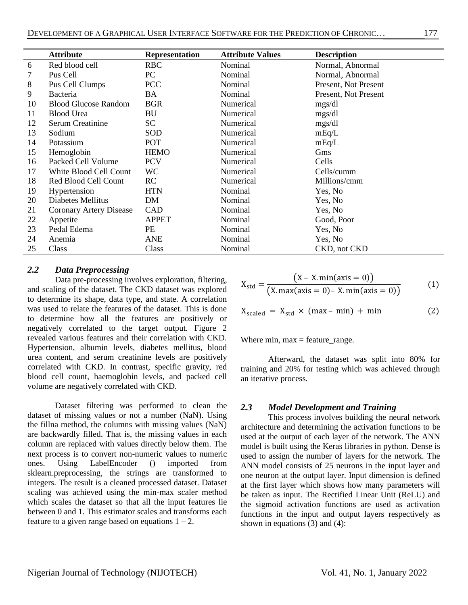|    | <b>Attribute</b>            | <b>Representation</b> | <b>Attribute Values</b> | <b>Description</b>   |
|----|-----------------------------|-----------------------|-------------------------|----------------------|
| 6  | Red blood cell              | <b>RBC</b>            | Nominal                 | Normal, Abnormal     |
| 7  | Pus Cell                    | PC                    | Nominal                 | Normal, Abnormal     |
| 8  | Pus Cell Clumps             | <b>PCC</b>            | Nominal                 | Present, Not Present |
| 9  | <b>Bacteria</b>             | BA                    | Nominal                 | Present, Not Present |
| 10 | <b>Blood Glucose Random</b> | <b>BGR</b>            | Numerical               | mgs/dl               |
| 11 | <b>Blood Urea</b>           | BU                    | Numerical               | mgs/dl               |
| 12 | <b>Serum Creatinine</b>     | <b>SC</b>             | Numerical               | mgs/dl               |
| 13 | Sodium                      | SOD                   | Numerical               | mEq/L                |
| 14 | Potassium                   | POT                   | Numerical               | mEq/L                |
| 15 | Hemoglobin                  | <b>HEMO</b>           | Numerical               | Gms                  |
| 16 | Packed Cell Volume          | <b>PCV</b>            | Numerical               | Cells                |
| 17 | White Blood Cell Count      | WC                    | Numerical               | Cells/cumm           |
| 18 | Red Blood Cell Count        | RC                    | Numerical               | Millions/cmm         |
| 19 | Hypertension                | <b>HTN</b>            | Nominal                 | Yes, No              |
| 20 | Diabetes Mellitus           | DM                    | Nominal                 | Yes, No              |
| 21 | Coronary Artery Disease     | CAD                   | Nominal                 | Yes, No              |
| 22 | Appetite                    | <b>APPET</b>          | Nominal                 | Good, Poor           |
| 23 | Pedal Edema                 | PE                    | Nominal                 | Yes, No              |
| 24 | Anemia                      | <b>ANE</b>            | Nominal                 | Yes, No              |
| 25 | Class                       | Class                 | Nominal                 | CKD, not CKD         |

## *2.2 Data Preprocessing*

Data pre-processing involves exploration, filtering, and scaling of the dataset. The CKD dataset was explored to determine its shape, data type, and state. A correlation was used to relate the features of the dataset. This is done to determine how all the features are positively or negatively correlated to the target output. Figure 2 revealed various features and their correlation with CKD. Hypertension, albumin levels, diabetes mellitus, blood urea content, and serum creatinine levels are positively correlated with CKD. In contrast, specific gravity, red blood cell count, haemoglobin levels, and packed cell volume are negatively correlated with CKD.

Dataset filtering was performed to clean the dataset of missing values or not a number (NaN). Using the fillna method, the columns with missing values (NaN) are backwardly filled. That is, the missing values in each column are replaced with values directly below them. The next process is to convert non-numeric values to numeric ones. Using LabelEncoder () imported from sklearn.preprocessing, the strings are transformed to integers. The result is a cleaned processed dataset. Dataset scaling was achieved using the min-max scaler method which scales the dataset so that all the input features lie between 0 and 1. This estimator scales and transforms each feature to a given range based on equations  $1 - 2$ .

$$
X_{\text{std}} = \frac{(X - X. \min(\text{axis} = 0))}{(X. \max(\text{axis} = 0) - X. \min(\text{axis} = 0))}
$$
(1)

$$
X_{\text{scaled}} = X_{\text{std}} \times (max - min) + min \tag{2}
$$

Where  $min$ ,  $max =$  feature\_range.

Afterward, the dataset was split into 80% for training and 20% for testing which was achieved through an iterative process.

#### *2.3 Model Development and Training*

This process involves building the neural network architecture and determining the activation functions to be used at the output of each layer of the network. The ANN model is built using the Keras libraries in python. Dense is used to assign the number of layers for the network. The ANN model consists of 25 neurons in the input layer and one neuron at the output layer. Input dimension is defined at the first layer which shows how many parameters will be taken as input. The Rectified Linear Unit (ReLU) and the sigmoid activation functions are used as activation functions in the input and output layers respectively as shown in equations (3) and (4):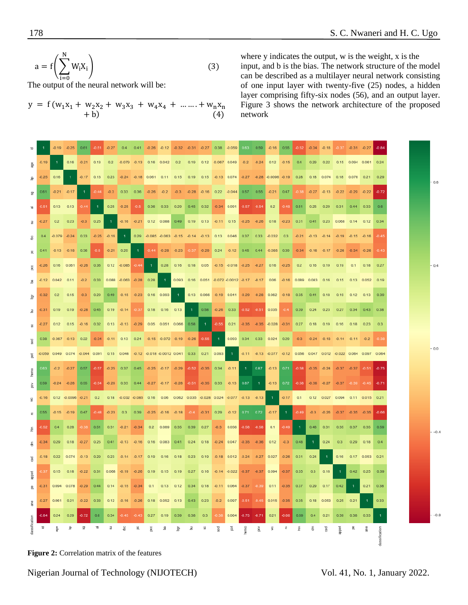$$
a = f\left(\sum_{i=0}^{N} W_i X_i\right)
$$
  
The output of the neural network will be: (3)

$$
y = f(w_1x_1 + w_2x_2 + w_3x_3 + w_4x_4 + \dots + w_nx_n + b)
$$
\n(4)

where y indicates the output, w is the weight, x is the input, and b is the bias. The network structure of the model can be described as a multilayer neural network consisting of one input layer with twenty-five (25) nodes, a hidden layer comprising fifty-six nodes (56), and an output layer. Figure 3 shows the network architecture of the proposed network

|               |         |      | $-0.19 - 0.25$                                     |                |             |      |      |    |   | 0.61 0.51 0.27 0.4 0.41 0.26 0.12 0.32 0.31 0.27 0.38 0.059 0.63 0.59                  |   |                |   |      |   |             |   | $-0.16$ 0.55                                                                                                                                                |                |      | $-0.52$ $-0.34$ $-0.18$ |                |      | $-0.37 - 0.31 - 0.27$                                  |                  | $-0.84$       |
|---------------|---------|------|----------------------------------------------------|----------------|-------------|------|------|----|---|----------------------------------------------------------------------------------------|---|----------------|---|------|---|-------------|---|-------------------------------------------------------------------------------------------------------------------------------------------------------------|----------------|------|-------------------------|----------------|------|--------------------------------------------------------|------------------|---------------|
|               |         |      |                                                    |                |             |      |      |    |   |                                                                                        |   |                |   |      |   |             |   | 0.16 -0.21 0.13 0.2 -0.079 -0.13 0.16 0.042 0.2 0.19 0.12 -0.067 0.049 -0.2 -0.24 0.12 -0.15 0.4 0.29 0.22 0.15 0.094 0.061 0.24                            |                |      |                         |                |      |                                                        |                  |               |
| 윤             | $-0.25$ | 0.16 | $\blacksquare$                                     |                |             |      |      |    |   |                                                                                        |   |                |   |      |   |             |   | -0.17 0.13 0.23 -0.24 -0.18 0.061 0.11 0.15 0.19 0.15 -0.13 0.074 -0.27 -0.28 -0.0096 -0.19 0.28 0.18 0.074 0.18 0.078 0.21 0.29                            |                |      |                         |                |      |                                                        |                  |               |
| 57            | 0.61    |      | $-0.21 - 0.17$                                     | $\overline{1}$ |             |      |      |    |   |                                                                                        |   |                |   |      |   |             |   | 0.44   0.3   0.33   0.36   0.26   0.2   0.3   0.26   0.16   0.22   0.044   0.57   0.55   0.21   0.47   0.38   0.27   0.13   0.22   0.22   0.72   0.72       |                |      |                         |                |      |                                                        |                  |               |
|               | $-0.51$ |      | $0.13$ $0.13$                                      | $-0.44$        | $-1$        |      |      |    |   |                                                                                        |   |                |   |      |   |             |   | 0.25 -0.25 -0.5 0.36 0.33 0.29 0.45 0.32 -0.34 0.091 -0.57 -0.54 0.2 -0.48 0.51 0.25 0.29 0.31 0.44 0.33                                                    |                |      |                         |                |      |                                                        |                  | 0.6           |
| 冨             | $-0.27$ | 0.2  | 0.23                                               |                | $-0.3$ 0.25 | $-1$ |      |    |   |                                                                                        |   |                |   |      |   |             |   | 40.16 40.21 0.12 0.088 0.49 0.19 0.13 40.11 0.15 40.25 40.26 0.18 40.23 0.31 0.41 0.23 0.068 0.14 0.12 0.34                                                 |                |      |                         |                |      |                                                        |                  |               |
|               | 0.4     |      | $-0.079$ $-0.24$ 0.33 $-0.25$ $-0.16$              |                |             |      | $-1$ |    |   |                                                                                        |   |                |   |      |   |             |   | 0.29 0.085 0.063 0.15 0.14 0.13 0.13 0.046 0.37 0.33 0.032 0.3 0.21 0.13 0.14 0.19 0.15 0.16 0.45                                                           |                |      |                         |                |      |                                                        |                  |               |
| 且             | 0.41    |      | $-0.13$ $-0.18$ 0.36 $-0.5$ $-0.21$ 0.29           |                |             |      |      |    |   |                                                                                        |   |                |   |      |   |             |   | 1   0.44   0.28   0.23   0.37   0.29   0.24   0.12   0.45   0.44   0.085   0.39   0.34   0.16   0.17   0.26   0.34   0.26   0.43                            |                |      |                         |                |      |                                                        |                  |               |
|               | $-0.26$ |      | 0.16 0.061 -0.26 0.36 0.12 -0.085 -0.44 1          |                |             |      |      |    |   |                                                                                        |   |                |   |      |   |             |   | 0.28 0.16 0.18 0.05 -0.15 -0.018 -0.25 -0.27 0.16 -0.25 0.2 0.16 0.19 0.19 0.1 0.18 0.27                                                                    |                |      |                         |                |      |                                                        |                  |               |
| В             |         |      | -0.12 0.042 0.11 -0.2 0.33 0.088 -0.063 -0.28 0.28 |                |             |      |      |    |   |                                                                                        |   |                |   |      |   |             |   | 1  0.093  0.16  0.051  0.072  0.0012  0.17  0.17  0.06  0.16  0.089  0.083  0.16  0.15  0.13  0.052  0.19                                                   |                |      |                         |                |      |                                                        |                  |               |
|               | $-0.32$ |      | $0.2$ $0.15$                                       |                |             |      |      |    |   |                                                                                        |   |                |   |      |   |             |   | -0.3 0.29 0.49 0.15 0.23 0.16 0.093 1 0.13 0.066 0.19 0.041 0.29 0.28 0.062 0.18 0.35 0.41 0.18 0.19 0.12 0.13 0.39                                         |                |      |                         |                |      |                                                        |                  |               |
| Ξ             | $-0.31$ |      |                                                    |                |             |      |      |    |   | 0.19  0.19  0.28  0.45  0.19  0.14  0.37  0.18  0.16  0.13                             |   | $\blacksquare$ |   |      |   |             |   | 0.58    40.26    0.33    40.52    40.51    0.035    40.4    0.39    0.24    0.23    0.27    0.34    0.43    0.38                                            |                |      |                         |                |      |                                                        |                  |               |
| 8             | $-0.27$ |      |                                                    |                |             |      |      |    |   | 0.12 0.15 -0.16 0.32 0.13 -0.13 -0.29 0.05 0.051 0.066 0.58                            |   |                |   |      |   |             |   | 1 $-0.55$ 0.21 $-0.35$ $-0.35$ $-0.028$ $-0.31$ 0.27   0.18   0.19   0.16   0.18   0.23                                                                     |                |      |                         |                |      |                                                        |                  | 0.3           |
| डू            |         |      |                                                    |                |             |      |      |    |   | 0.38 0.067 0.13 0.22 0.34 0.11 0.13 0.24 0.15 0.072 0.19 0.26 0.55                     |   |                |   | $-1$ |   |             |   | 0.093 0.34 0.33 0.024 0.29 -0.3 -0.24 -0.18 -0.14 -0.11 -0.2 -0.38                                                                                          |                |      |                         |                |      |                                                        |                  |               |
| ã             |         |      |                                                    |                |             |      |      |    |   |                                                                                        |   |                |   |      |   |             |   | -0.059 0.049 0.074 -0.044 0.091 0.15 0.046 -0.12 -0.018 -0.0012 0.041 0.33 0.21 0.093 1 -0.11 -0.13 -0.077 -0.12 0.056 0.047 0.012 -0.022 0.064 0.097 0.064 |                |      |                         |                |      |                                                        |                  |               |
| hemo          | 0.63    |      |                                                    |                |             |      |      |    |   | -0.2 -0.27 0.57 -0.57 -0.25 0.37 0.45 -0.25 -0.17 -0.29 -0.52 -0.35 0.34 -0.11         |   |                |   |      |   |             |   | 1 0.87 0.13 0.71 0.58 0.35 0.24 0.37 0.37 0.51 0.57                                                                                                         |                |      |                         |                |      |                                                        |                  |               |
| ã             | 0.59    |      |                                                    |                |             |      |      |    |   | -0.24 -0.28 0.55 -0.54 -0.26 0.33 0.44 -0.27 -0.17 -0.28 -0.51 -0.35 0.33 -0.13 0.87 1 |   |                |   |      |   |             |   | $-0.13$ 0.72                                                                                                                                                |                |      |                         |                |      | -0.58 -0.36 -0.27 -0.37 -0.39 -0.45 -0.71              |                  |               |
| 影             |         |      |                                                    |                |             |      |      |    |   |                                                                                        |   |                |   |      |   |             |   | -0.16 0.12 -0.0096 -0.21 0.2 0.18 -0.032 -0.085 0.16 0.06 0.062 0.035 -0.028 0.024 -0.077 -0.13 -0.13 1 -0.17 0.1 0.17 0.1 0.027 0.094 0.11 0.015 0.21      |                |      |                         |                |      |                                                        |                  |               |
|               | 0.55    |      |                                                    |                |             |      |      |    |   |                                                                                        |   |                |   |      |   |             |   | -0.15 -0.19 0.47 -0.48 -0.23 0.3 0.39 -0.25 -0.16 -0.18 -0.4 -0.31 0.29 -0.12 0.71 0.72 -0.17                                                               | $\blacksquare$ |      |                         |                |      | $-0.49$ $-0.3$ $-0.26$ $-0.37$ $-0.35$ $-0.35$ $-0.66$ |                  |               |
| 튣             | $-0.52$ |      | $0.4$ 0.28                                         |                |             |      |      |    |   | 40.38 0.51 0.31 40.21 40.34 0.2 0.089 0.35 0.39 0.27 40.3 0.056 40.58 40.58            |   |                |   |      |   |             |   |                                                                                                                                                             | $0.1 - 0.49$   | $-1$ |                         |                |      | 0.48  0.31  0.35  0.37  0.35                           |                  | 0.59          |
|               | $-0.34$ |      |                                                    |                |             |      |      |    |   |                                                                                        |   |                |   |      |   |             |   | 0.29 0.18 -0.27 0.25 0.41 -0.13 -0.16 0.16 0.083 0.41 0.24 0.18 -0.24 0.047 -0.35 -0.36 0.12 -0.3 0.48                                                      |                |      | $\blacksquare$          |                |      | $0.24$ $0.3$ $0.29$ $0.18$                             |                  | 0.4           |
| 꾫             |         |      |                                                    |                |             |      |      |    |   |                                                                                        |   |                |   |      |   |             |   | -0.18 0.22 0.074 -0.13 0.29 0.23 -0.14 -0.17 0.19 0.16 0.18 0.23 0.19 -0.18 0.012 -0.24 -0.27 0.027 -0.26 0.31 0.24                                         |                |      |                         | $\overline{1}$ |      | 0.16  0.17  0.053  0.21                                |                  |               |
|               |         |      |                                                    |                |             |      |      |    |   |                                                                                        |   |                |   |      |   |             |   | 0.37 0.15 0.18 0.22 0.31 0.068 0.19 0.26 0.19 0.15 0.19 0.27 0.16 0.14 0.022 0.37 0.37 0.094 0.37 0.35 0.3 0.16                                             |                |      |                         |                | $-1$ |                                                        | $0.42$ 0.25 0.39 |               |
|               |         |      |                                                    |                |             |      |      |    |   |                                                                                        |   |                |   |      |   |             |   | 8 0.31 0.094 0.078 0.29 0.44 0.14 0.15 0.34 0.1 0.13 0.12 0.34 0.18 0.11 0.064 0.37 0.39 0.11 0.35 0.37 0.29 0.17 0.42                                      |                |      |                         |                |      | $\blacksquare$ 1                                       | $0.21$ 0.38      |               |
| å.            |         |      |                                                    |                |             |      |      |    |   |                                                                                        |   |                |   |      |   |             |   | -0.27 0.061 0.21 -0.22 0.33 0.12 -0.16 -0.26 0.18 0.052 0.13 0.43 0.23 -0.2 0.097 -0.51 -0.45 0.015 -0.35 0.35 0.18 0.053 0.25 0.21                         |                |      |                         |                |      |                                                        |                  | 0.33          |
|               |         |      |                                                    |                |             |      |      |    |   |                                                                                        |   |                |   |      |   |             |   | 0.84 0.24 0.29 0.72 0.6 0.34 0.45 0.43 0.27 0.19 0.39 0.38 0.3 0.08 0.064 0.75 0.71 0.21 0.66 0.59 0.4 0.21 0.39 0.38 0.33                                  |                |      |                         |                |      |                                                        |                  |               |
| dassification | г.      |      |                                                    |                |             | 긂    | 욛    | 8. | g | 呂                                                                                      | è | 3              | 8 | g    | ã | $rac{5}{2}$ | ã | š                                                                                                                                                           | g              | 듚    | 5                       | ĕ              | ppet | 8.                                                     | g                | dassification |

**Figure 2:** Correlation matrix of the features

Nigerian Journal of Technology (NIJOTECH) Vol. 41, No. 1, January 2022.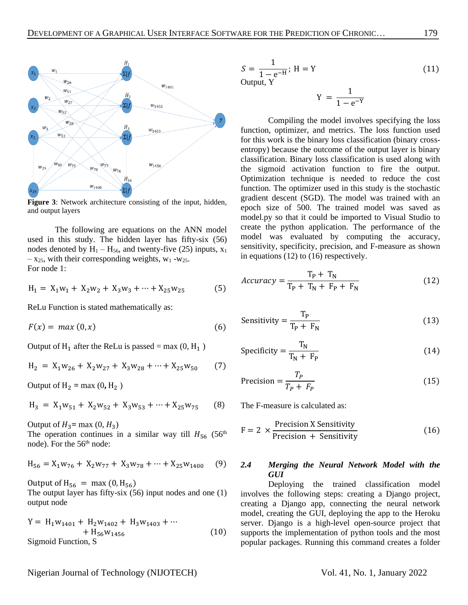

**Figure 3**: Network architecture consisting of the input, hidden, and output layers

The following are equations on the ANN model used in this study. The hidden layer has fifty-six (56) nodes denoted by  $H_1 - H_{56}$ , and twenty-five (25) inputs,  $x_1$  $- x_{25}$ , with their corresponding weights, w<sub>1</sub> -w<sub>25</sub>. For node 1:

$$
H_1 = X_1 w_1 + X_2 w_2 + X_3 w_3 + \dots + X_{25} w_{25}
$$
 (5)

ReLu Function is stated mathematically as:

 $F(x) = max(0, x)$  (6)

Output of  $H_1$  after the ReLu is passed = max (0,  $H_1$ )

$$
H_2 = X_1 w_{26} + X_2 w_{27} + X_3 w_{28} + \dots + X_{25} w_{50}
$$
 (7)

Output of  $H_2 = max(0, H_2)$ 

$$
H_3 = X_1 W_{51} + X_2 W_{52} + X_3 W_{53} + \dots + X_{25} W_{75}
$$
 (8)

Output of  $H_3$ = max  $(0, H_3)$ 

The operation continues in a similar way till  $H_{56}$  (56<sup>th</sup>) node). For the 56<sup>th</sup> node:

$$
H_{56} = X_1 w_{76} + X_2 w_{77} + X_3 w_{78} + \dots + X_{25} w_{1400}
$$
 (9)

Output of  $H_{56} = \text{max}(0, H_{56})$ 

The output layer has fifty-six (56) input nodes and one (1) output node

$$
Y = H_1 w_{1401} + H_2 w_{1402} + H_3 w_{1403} + \cdots + H_{56} w_{1456}
$$
  
Sigmoid Function, S (10)

$$
S = \frac{1}{1 - e^{-H}}; H = Y
$$
\nOutput, Y

\n
$$
T = \frac{1}{1 - e^{-H}}
$$
\n
$$
T = \frac{1}{1 - e^{-H}}
$$
\n(11)

 $Y =$ 1  $1 - e^{-Y}$ 

Compiling the model involves specifying the loss function, optimizer, and metrics. The loss function used for this work is the binary loss classification (binary crossentropy) because the outcome of the output layer is binary classification. Binary loss classification is used along with the sigmoid activation function to fire the output. Optimization technique is needed to reduce the cost function. The optimizer used in this study is the stochastic gradient descent (SGD). The model was trained with an epoch size of 500. The trained model was saved as model.py so that it could be imported to Visual Studio to create the python application. The performance of the model was evaluated by computing the accuracy, sensitivity, specificity, precision, and F-measure as shown in equations (12) to (16) respectively.

$$
Accuracy = \frac{T_P + T_N}{T_P + T_N + F_P + F_N}
$$
 (12)

Sensitivity = 
$$
\frac{T_P}{T_P + F_N}
$$
 (13)

$$
Specificity = \frac{T_N}{T_N + F_P}
$$
 (14)

$$
Precision = \frac{T_P}{T_P + F_P}
$$
 (15)

The F-measure is calculated as:

$$
F = 2 \times \frac{\text{Precision X Sensitivity}}{\text{Precision + Sensitivity}} \tag{16}
$$

## *2.4 Merging the Neural Network Model with the GUI*

Deploying the trained classification model involves the following steps: creating a Django project, creating a Django app, connecting the neural network model, creating the GUI, deploying the app to the Heroku server. Django is a high-level open-source project that supports the implementation of python tools and the most popular packages. Running this command creates a folder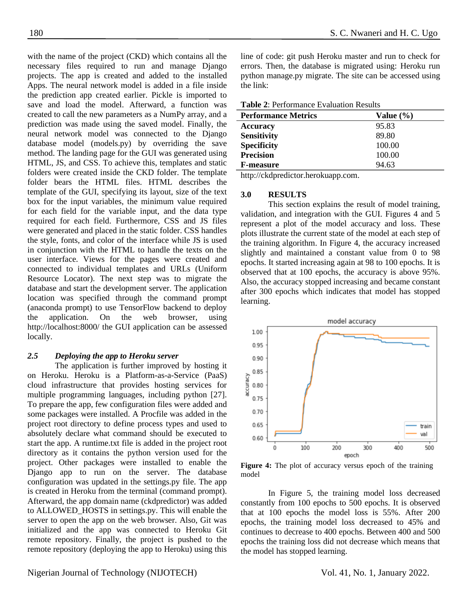with the name of the project (CKD) which contains all the necessary files required to run and manage Django projects. The app is created and added to the installed Apps. The neural network model is added in a file inside the prediction app created earlier. Pickle is imported to save and load the model. Afterward, a function was created to call the new parameters as a NumPy array, and a prediction was made using the saved model. Finally, the neural network model was connected to the Django database model (models.py) by overriding the save method. The landing page for the GUI was generated using HTML, JS, and CSS. To achieve this, templates and static folders were created inside the CKD folder. The template folder bears the HTML files. HTML describes the template of the GUI, specifying its layout, size of the text box for the input variables, the minimum value required for each field for the variable input, and the data type required for each field. Furthermore, CSS and JS files were generated and placed in the static folder. CSS handles the style, fonts, and color of the interface while JS is used in conjunction with the HTML to handle the texts on the user interface. Views for the pages were created and connected to individual templates and URLs (Uniform Resource Locator). The next step was to migrate the database and start the development server. The application location was specified through the command prompt (anaconda prompt) to use TensorFlow backend to deploy the application. On the web browser, using <http://localhost:8000/> the GUI application can be assessed locally.

#### *2.5 Deploying the app to Heroku server*

The application is further improved by hosting it on Heroku. Heroku is a Platform-as-a-Service (PaaS) cloud infrastructure that provides hosting services for multiple programming languages, including python [27]. To prepare the app, few configuration files were added and some packages were installed. A Procfile was added in the project root directory to define process types and used to absolutely declare what command should be executed to start the app. A runtime.txt file is added in the project root directory as it contains the python version used for the project. Other packages were installed to enable the Django app to run on the server. The database configuration was updated in the settings.py file. The app is created in Heroku from the terminal (command prompt). Afterward, the app domain name (ckdpredictor) was added to ALLOWED\_HOSTS in settings.py. This will enable the server to open the app on the web browser. Also, Git was initialized and the app was connected to Heroku Git remote repository. Finally, the project is pushed to the remote repository (deploying the app to Heroku) using this

line of code: git push Heroku master and run to check for errors. Then, the database is migrated using: Heroku run python manage.py migrate. The site can be accessed using the link:

| <b>Table 2: Performance Evaluation Results</b> |  |  |
|------------------------------------------------|--|--|
|------------------------------------------------|--|--|

| <b>Performance Metrics</b> | Value $(\% )$ |
|----------------------------|---------------|
| <b>Accuracy</b>            | 95.83         |
| <b>Sensitivity</b>         | 89.80         |
| <b>Specificity</b>         | 100.00        |
| <b>Precision</b>           | 100.00        |
| <b>F-measure</b>           | 94.63         |

[http://ckdpredictor.herokuapp.com.](http://ckdpredictor.herokuapp.com/)

#### **3.0 RESULTS**

This section explains the result of model training, validation, and integration with the GUI. Figures 4 and 5 represent a plot of the model accuracy and loss. These plots illustrate the current state of the model at each step of the training algorithm. In Figure 4, the accuracy increased slightly and maintained a constant value from 0 to 98 epochs. It started increasing again at 98 to 100 epochs. It is observed that at 100 epochs, the accuracy is above 95%. Also, the accuracy stopped increasing and became constant after 300 epochs which indicates that model has stopped learning.



**Figure 4:** The plot of accuracy versus epoch of the training model

In Figure 5, the training model loss decreased constantly from 100 epochs to 500 epochs. It is observed that at 100 epochs the model loss is 55%. After 200 epochs, the training model loss decreased to 45% and continues to decrease to 400 epochs. Between 400 and 500 epochs the training loss did not decrease which means that the model has stopped learning.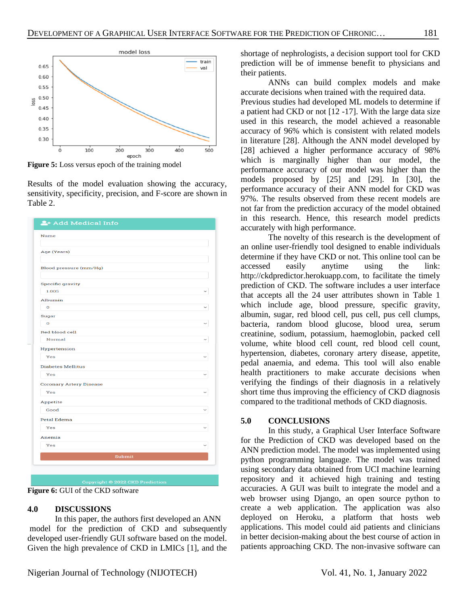

**Figure 5:** Loss versus epoch of the training model

Results of the model evaluation showing the accuracy, sensitivity, specificity, precision, and F-score are shown in Table 2.

| Name                           |  |
|--------------------------------|--|
| Age (Years)                    |  |
| Blood pressure (mm/Hg)         |  |
| <b>Specific gravity</b>        |  |
| 1.005                          |  |
| Albumin                        |  |
| $\mathbf O$                    |  |
| Sugar                          |  |
| $\mathbf 0$                    |  |
| <b>Red blood cell</b>          |  |
| Normal                         |  |
| Hypertension                   |  |
| Yes                            |  |
| <b>Diabetes Mellitus</b>       |  |
| Yes                            |  |
| <b>Coronary Artery Disease</b> |  |
| Yes                            |  |
| Appetite                       |  |
| Good                           |  |
| <b>Petal Edema</b>             |  |
| Yes                            |  |
|                                |  |
| Anemia                         |  |
| Yes                            |  |
| Submit                         |  |
|                                |  |

**Figure 6:** GUI of the CKD software

# **4.0 DISCUSSIONS**

In this paper, the authors first developed an ANN model for the prediction of CKD and subsequently developed user-friendly GUI software based on the model. Given the high prevalence of CKD in LMICs [1], and the shortage of nephrologists, a decision support tool for CKD prediction will be of immense benefit to physicians and their patients.

ANNs can build complex models and make accurate decisions when trained with the required data. Previous studies had developed ML models to determine if a patient had CKD or not [12 -17]. With the large data size used in this research, the model achieved a reasonable accuracy of 96% which is consistent with related models in literature [28]. Although the ANN model developed by [28] achieved a higher performance accuracy of 98% which is marginally higher than our model, the performance accuracy of our model was higher than the models proposed by [25] and [29]. In [30], the performance accuracy of their ANN model for CKD was 97%. The results observed from these recent models are not far from the prediction accuracy of the model obtained in this research. Hence, this research model predicts accurately with high performance.

The novelty of this research is the development of an online user-friendly tool designed to enable individuals determine if they have CKD or not. This online tool can be accessed easily anytime using the link: [http://ckdpredictor.herokuapp.com,](http://ckdpredictor.herokuapp.com/) to facilitate the timely prediction of CKD. The software includes a user interface that accepts all the 24 user attributes shown in Table 1 which include age, blood pressure, specific gravity, albumin, sugar, red blood cell, pus cell, pus cell clumps, bacteria, random blood glucose, blood urea, serum creatinine, sodium, potassium, haemoglobin, packed cell volume, white blood cell count, red blood cell count, hypertension, diabetes, coronary artery disease, appetite, pedal anaemia, and edema. This tool will also enable health practitioners to make accurate decisions when verifying the findings of their diagnosis in a relatively short time thus improving the efficiency of CKD diagnosis compared to the traditional methods of CKD diagnosis.

# **5.0 CONCLUSIONS**

In this study, a Graphical User Interface Software for the Prediction of CKD was developed based on the ANN prediction model. The model was implemented using python programming language. The model was trained using secondary data obtained from UCI machine learning repository and it achieved high training and testing accuracies. A GUI was built to integrate the model and a web browser using Django, an open source python to create a web application. The application was also deployed on Heroku, a platform that hosts web applications. This model could aid patients and clinicians in better decision-making about the best course of action in patients approaching CKD. The non-invasive software can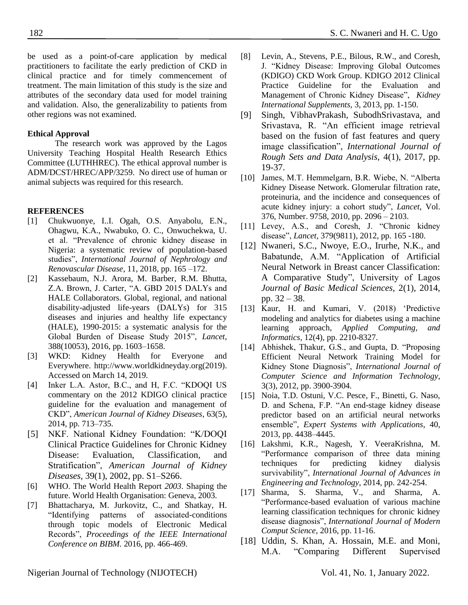be used as a point-of-care application by medical practitioners to facilitate the early prediction of CKD in clinical practice and for timely commencement of treatment. The main limitation of this study is the size and attributes of the secondary data used for model training and validation. Also, the generalizability to patients from other regions was not examined.

## **Ethical Approval**

The research work was approved by the Lagos University Teaching Hospital Health Research Ethics Committee (LUTHHREC). The ethical approval number is ADM/DCST/HREC/APP/3259. No direct use of human or animal subjects was required for this research.

## **REFERENCES**

- <span id="page-7-0"></span>[1] Chukwuonye, I..I. Ogah, O.S. Anyabolu, E.N., Ohagwu, K.A., Nwabuko, O. C., Onwuchekwa, U. et al. "Prevalence of chronic kidney disease in Nigeria: a systematic review of population-based studies", *International Journal of Nephrology and Renovascular Disease*, 11, 2018, pp. 165 –172.
- <span id="page-7-1"></span>[2] Kassebaum, N.J. Arora, M. Barber, R.M. Bhutta, Z.A. Brown, J. Carter, "A. GBD 2015 DALYs and HALE Collaborators. Global, regional, and national disability-adjusted life-years (DALYs) for 315 diseases and injuries and healthy life expectancy (HALE), 1990-2015: a systematic analysis for the Global Burden of Disease Study 2015", *Lancet*, 388(10053), 2016, pp. 1603–1658.
- <span id="page-7-2"></span>[3] WKD: Kidney Health for Everyone and Everywhere. [http://www.worldkidneyday.org\(2019\).](http://www.worldkidneyday.org(2019)/) Accessed on March 14, 2019.
- <span id="page-7-3"></span>[4] Inker L.A. Astor, B.C., and H, F.C. "KDOQI US commentary on the 2012 KDIGO clinical practice guideline for the evaluation and management of CKD", *American Journal of Kidney Diseases*, 63(5), 2014, pp. 713–735.
- [5] NKF. National Kidney Foundation: "K/DOQI Clinical Practice Guidelines for Chronic Kidney Disease: Evaluation, Classification, and Stratification", *American Journal of Kidney Diseases,* 39(1), 2002, pp. S1–S266.
- <span id="page-7-4"></span>[6] WHO. The World Health Report *2003*. Shaping the future. World Health Organisation: Geneva, 2003.
- <span id="page-7-5"></span>[7] Bhattacharya, M. Jurkovitz, C., and Shatkay, H. "Identifying patterns of associated-conditions through topic models of Electronic Medical Records", *Proceedings of the IEEE International Conference on BIBM.* 2016, pp. 466-469.
- <span id="page-7-6"></span>[8] Levin, A., Stevens, P.E., Bilous, R.W., and Coresh, J. "Kidney Disease: Improving Global Outcomes (KDIGO) CKD Work Group. KDIGO 2012 Clinical Practice Guideline for the Evaluation and Management of Chronic Kidney Disease", *Kidney International Supplements,* 3, 2013, pp. 1-150.
- <span id="page-7-7"></span>[9] Singh, VibhavPrakash, SubodhSrivastava, and Srivastava, R. "An efficient image retrieval based on the fusion of fast features and query image classification", *International Journal of Rough Sets and Data Analysis,* 4(1), 2017, pp. 19-37.
- <span id="page-7-8"></span>[10] James, M.T. Hemmelgarn, B.R. Wiebe, N. "Alberta Kidney Disease Network. Glomerular filtration rate, proteinuria, and the incidence and consequences of acute kidney injury: a cohort study", *Lancet*, Vol. 376, Number. 9758, 2010, pp. 2096 – 2103.
- <span id="page-7-9"></span>[11] Levey, A.S., and Coresh, J. "Chronic kidney disease", *Lancet,* 379(9811), 2012, pp. 165 -180.
- <span id="page-7-10"></span>[12] Nwaneri, S.C., Nwoye, E.O., Irurhe, N.K., and Babatunde, A.M. "Application of Artificial Neural Network in Breast cancer Classification: A Comparative Study", University of Lagos *Journal of Basic Medical Sciences,* 2(1), 2014, pp. 32 – 38.
- [13] Kaur, H. and Kumari, V. (2018) 'Predictive modeling and analytics for diabetes using a machine learning approach, *Applied Computing, and Informatics*, 12(4), pp. 2210-8327.
- <span id="page-7-11"></span>[14] Abhishek, Thakur, G.S., and Gupta, D. "Proposing Efficient Neural Network Training Model for Kidney Stone Diagnosis", *International Journal of Computer Science and Information Technology*, 3(3), 2012, pp. 3900-3904.
- <span id="page-7-15"></span>[15] Noia, T.D. Ostuni, V.C. Pesce, F., Binetti, G. Naso, D. and Schena, F.P. "An end-stage kidney disease predictor based on an artificial neural networks ensemble", *Expert Systems with Applications*, 40, 2013, pp. 4438–4445.
- <span id="page-7-13"></span>[16] Lakshmi, K.R., Nagesh, Y. VeeraKrishna, M. "Performance comparison of three data mining techniques for predicting kidney dialysis survivability", *International Journal of Advances in Engineering and Technology*, 2014, pp. 242-254.
- <span id="page-7-14"></span>[17] Sharma, S. Sharma, V., and Sharma, A. "Performance-based evaluation of various machine learning classification techniques for chronic kidney disease diagnosis", *International Journal of Modern Comput Science*, 2016, pp. 11-16.
- <span id="page-7-12"></span>[18] Uddin, S. Khan, A. Hossain, M.E. and Moni, M.A. "Comparing Different Supervised

Nigerian Journal of Technology (NIJOTECH) Vol. 41, No. 1, January 2022.